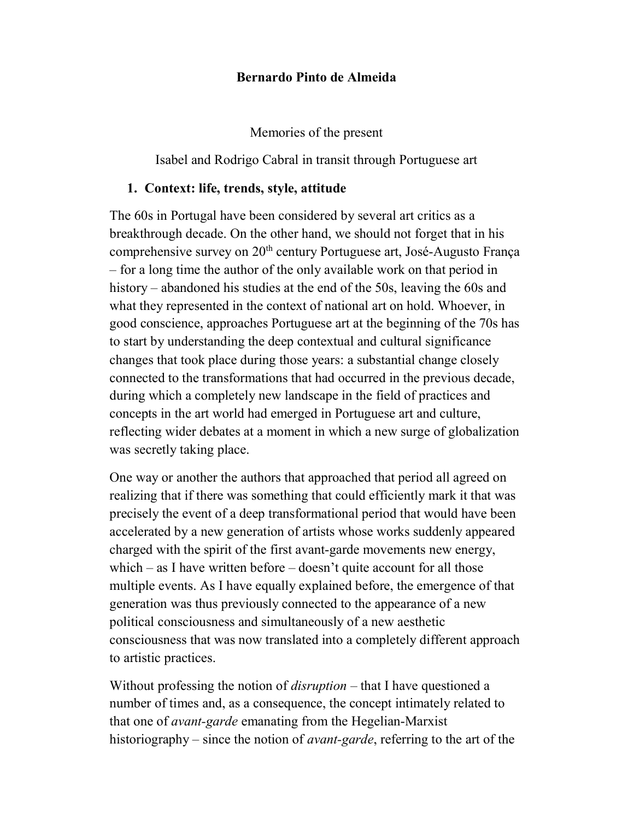### Bernardo Pinto de Almeida

Memories of the present

Isabel and Rodrigo Cabral in transit through Portuguese art

## 1. Context: life, trends, style, attitude

The 60s in Portugal have been considered by several art critics as a breakthrough decade. On the other hand, we should not forget that in his comprehensive survey on  $20<sup>th</sup>$  century Portuguese art, José-Augusto França – for a long time the author of the only available work on that period in history – abandoned his studies at the end of the 50s, leaving the 60s and what they represented in the context of national art on hold. Whoever, in good conscience, approaches Portuguese art at the beginning of the 70s has to start by understanding the deep contextual and cultural significance changes that took place during those years: a substantial change closely connected to the transformations that had occurred in the previous decade, during which a completely new landscape in the field of practices and concepts in the art world had emerged in Portuguese art and culture, reflecting wider debates at a moment in which a new surge of globalization was secretly taking place.

One way or another the authors that approached that period all agreed on realizing that if there was something that could efficiently mark it that was precisely the event of a deep transformational period that would have been accelerated by a new generation of artists whose works suddenly appeared charged with the spirit of the first avant-garde movements new energy, which – as I have written before – doesn't quite account for all those multiple events. As I have equally explained before, the emergence of that generation was thus previously connected to the appearance of a new political consciousness and simultaneously of a new aesthetic consciousness that was now translated into a completely different approach to artistic practices.

Without professing the notion of *disruption* – that I have questioned a number of times and, as a consequence, the concept intimately related to that one of avant-garde emanating from the Hegelian-Marxist historiography – since the notion of *avant-garde*, referring to the art of the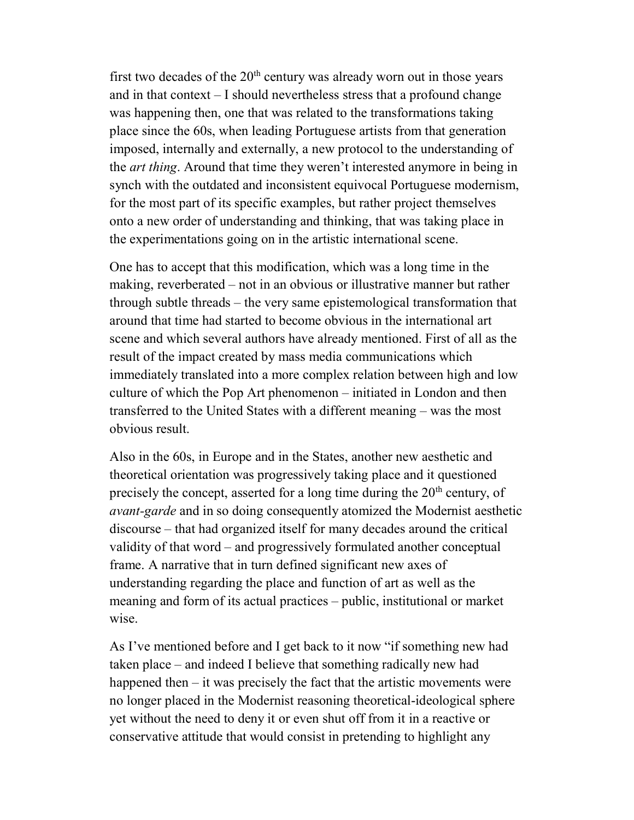first two decades of the  $20<sup>th</sup>$  century was already worn out in those years and in that context – I should nevertheless stress that a profound change was happening then, one that was related to the transformations taking place since the 60s, when leading Portuguese artists from that generation imposed, internally and externally, a new protocol to the understanding of the *art thing*. Around that time they weren't interested anymore in being in synch with the outdated and inconsistent equivocal Portuguese modernism, for the most part of its specific examples, but rather project themselves onto a new order of understanding and thinking, that was taking place in the experimentations going on in the artistic international scene.

One has to accept that this modification, which was a long time in the making, reverberated – not in an obvious or illustrative manner but rather through subtle threads – the very same epistemological transformation that around that time had started to become obvious in the international art scene and which several authors have already mentioned. First of all as the result of the impact created by mass media communications which immediately translated into a more complex relation between high and low culture of which the Pop Art phenomenon – initiated in London and then transferred to the United States with a different meaning – was the most obvious result.

Also in the 60s, in Europe and in the States, another new aesthetic and theoretical orientation was progressively taking place and it questioned precisely the concept, asserted for a long time during the  $20<sup>th</sup>$  century, of *avant-garde* and in so doing consequently atomized the Modernist aesthetic discourse – that had organized itself for many decades around the critical validity of that word – and progressively formulated another conceptual frame. A narrative that in turn defined significant new axes of understanding regarding the place and function of art as well as the meaning and form of its actual practices – public, institutional or market wise.

As I've mentioned before and I get back to it now "if something new had taken place – and indeed I believe that something radically new had happened then – it was precisely the fact that the artistic movements were no longer placed in the Modernist reasoning theoretical-ideological sphere yet without the need to deny it or even shut off from it in a reactive or conservative attitude that would consist in pretending to highlight any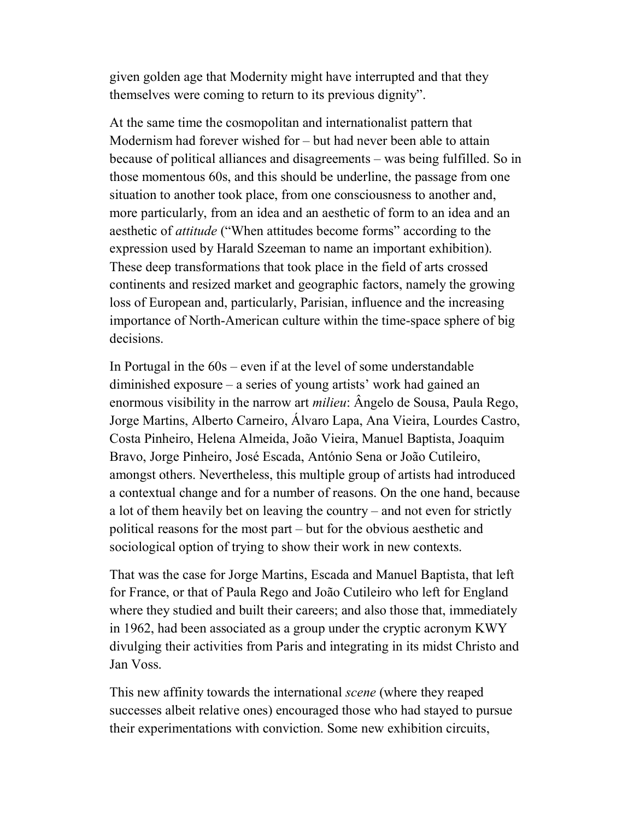given golden age that Modernity might have interrupted and that they themselves were coming to return to its previous dignity".

At the same time the cosmopolitan and internationalist pattern that Modernism had forever wished for – but had never been able to attain because of political alliances and disagreements – was being fulfilled. So in those momentous 60s, and this should be underline, the passage from one situation to another took place, from one consciousness to another and, more particularly, from an idea and an aesthetic of form to an idea and an aesthetic of *attitude* ("When attitudes become forms" according to the expression used by Harald Szeeman to name an important exhibition). These deep transformations that took place in the field of arts crossed continents and resized market and geographic factors, namely the growing loss of European and, particularly, Parisian, influence and the increasing importance of North-American culture within the time-space sphere of big decisions.

In Portugal in the 60s – even if at the level of some understandable diminished exposure – a series of young artists' work had gained an enormous visibility in the narrow art *milieu*: Ângelo de Sousa, Paula Rego, Jorge Martins, Alberto Carneiro, Álvaro Lapa, Ana Vieira, Lourdes Castro, Costa Pinheiro, Helena Almeida, João Vieira, Manuel Baptista, Joaquim Bravo, Jorge Pinheiro, José Escada, António Sena or João Cutileiro, amongst others. Nevertheless, this multiple group of artists had introduced a contextual change and for a number of reasons. On the one hand, because a lot of them heavily bet on leaving the country – and not even for strictly political reasons for the most part – but for the obvious aesthetic and sociological option of trying to show their work in new contexts.

That was the case for Jorge Martins, Escada and Manuel Baptista, that left for France, or that of Paula Rego and João Cutileiro who left for England where they studied and built their careers; and also those that, immediately in 1962, had been associated as a group under the cryptic acronym KWY divulging their activities from Paris and integrating in its midst Christo and Jan Voss.

This new affinity towards the international *scene* (where they reaped successes albeit relative ones) encouraged those who had stayed to pursue their experimentations with conviction. Some new exhibition circuits,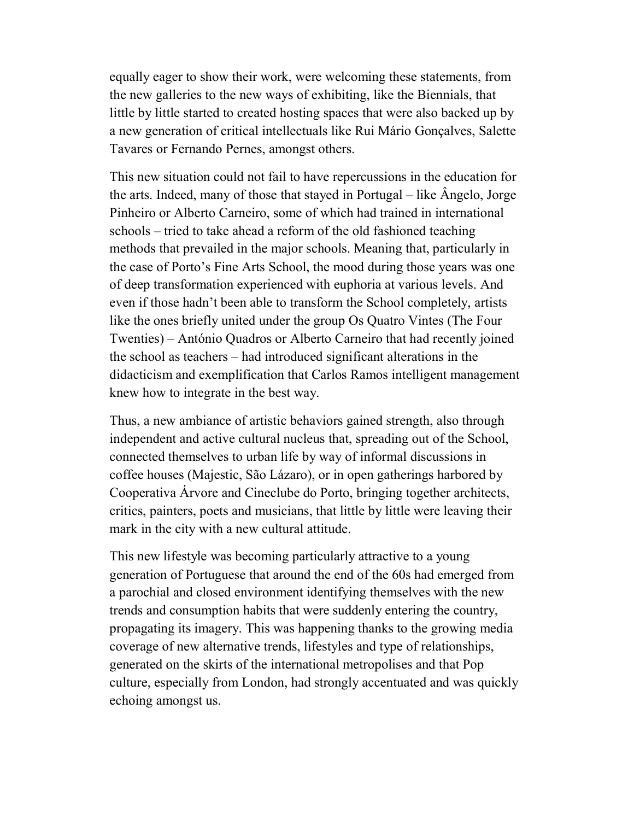equally eager to show their work, were welcoming these statements, from the new galleries to the new ways of exhibiting, like the Biennials, that little by little started to created hosting spaces that were also backed up by a new generation of critical intellectuals like Rui Mário Gonçalves, Salette Tavares or Fernando Pernes, amongst others.

This new situation could not fail to have repercussions in the education for the arts. Indeed, many of those that stayed in Portugal – like Ângelo, Jorge Pinheiro or Alberto Carneiro, some of which had trained in international schools – tried to take ahead a reform of the old fashioned teaching methods that prevailed in the major schools. Meaning that, particularly in the case of Porto's Fine Arts School, the mood during those years was one of deep transformation experienced with euphoria at various levels. And even if those hadn't been able to transform the School completely, artists like the ones briefly united under the group Os Quatro Vintes (The Four Twenties) – António Quadros or Alberto Carneiro that had recently joined the school as teachers – had introduced significant alterations in the didacticism and exemplification that Carlos Ramos intelligent management knew how to integrate in the best way.

Thus, a new ambiance of artistic behaviors gained strength, also through independent and active cultural nucleus that, spreading out of the School, connected themselves to urban life by way of informal discussions in coffee houses (Majestic, São Lázaro), or in open gatherings harbored by Cooperativa Árvore and Cineclube do Porto, bringing together architects, critics, painters, poets and musicians, that little by little were leaving their mark in the city with a new cultural attitude.

This new lifestyle was becoming particularly attractive to a young generation of Portuguese that around the end of the 60s had emerged from a parochial and closed environment identifying themselves with the new trends and consumption habits that were suddenly entering the country, propagating its imagery. This was happening thanks to the growing media coverage of new alternative trends, lifestyles and type of relationships, generated on the skirts of the international metropolises and that Pop culture, especially from London, had strongly accentuated and was quickly echoing amongst us.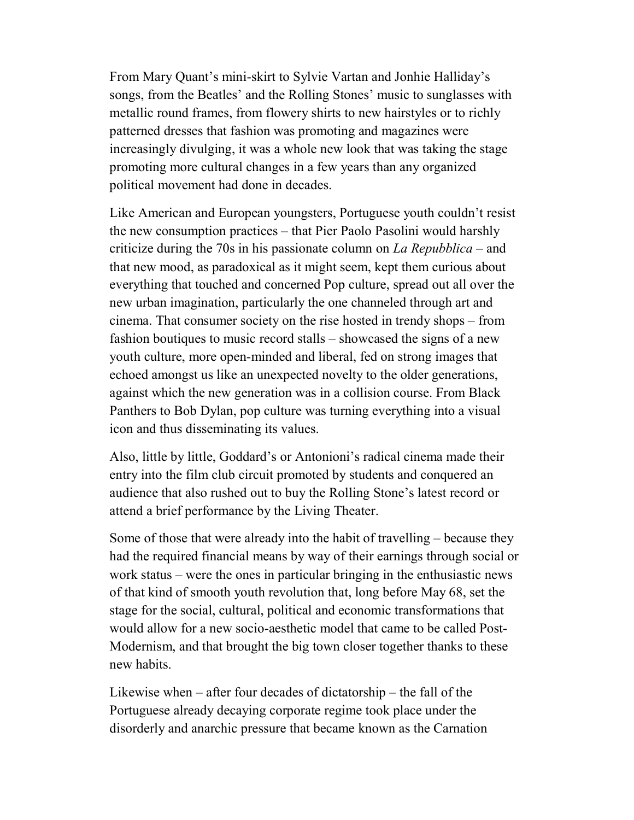From Mary Quant's mini-skirt to Sylvie Vartan and Jonhie Halliday's songs, from the Beatles' and the Rolling Stones' music to sunglasses with metallic round frames, from flowery shirts to new hairstyles or to richly patterned dresses that fashion was promoting and magazines were increasingly divulging, it was a whole new look that was taking the stage promoting more cultural changes in a few years than any organized political movement had done in decades.

Like American and European youngsters, Portuguese youth couldn't resist the new consumption practices – that Pier Paolo Pasolini would harshly criticize during the 70s in his passionate column on La Repubblica – and that new mood, as paradoxical as it might seem, kept them curious about everything that touched and concerned Pop culture, spread out all over the new urban imagination, particularly the one channeled through art and cinema. That consumer society on the rise hosted in trendy shops – from fashion boutiques to music record stalls – showcased the signs of a new youth culture, more open-minded and liberal, fed on strong images that echoed amongst us like an unexpected novelty to the older generations, against which the new generation was in a collision course. From Black Panthers to Bob Dylan, pop culture was turning everything into a visual icon and thus disseminating its values.

Also, little by little, Goddard's or Antonioni's radical cinema made their entry into the film club circuit promoted by students and conquered an audience that also rushed out to buy the Rolling Stone's latest record or attend a brief performance by the Living Theater.

Some of those that were already into the habit of travelling – because they had the required financial means by way of their earnings through social or work status – were the ones in particular bringing in the enthusiastic news of that kind of smooth youth revolution that, long before May 68, set the stage for the social, cultural, political and economic transformations that would allow for a new socio-aesthetic model that came to be called Post-Modernism, and that brought the big town closer together thanks to these new habits.

Likewise when – after four decades of dictatorship – the fall of the Portuguese already decaying corporate regime took place under the disorderly and anarchic pressure that became known as the Carnation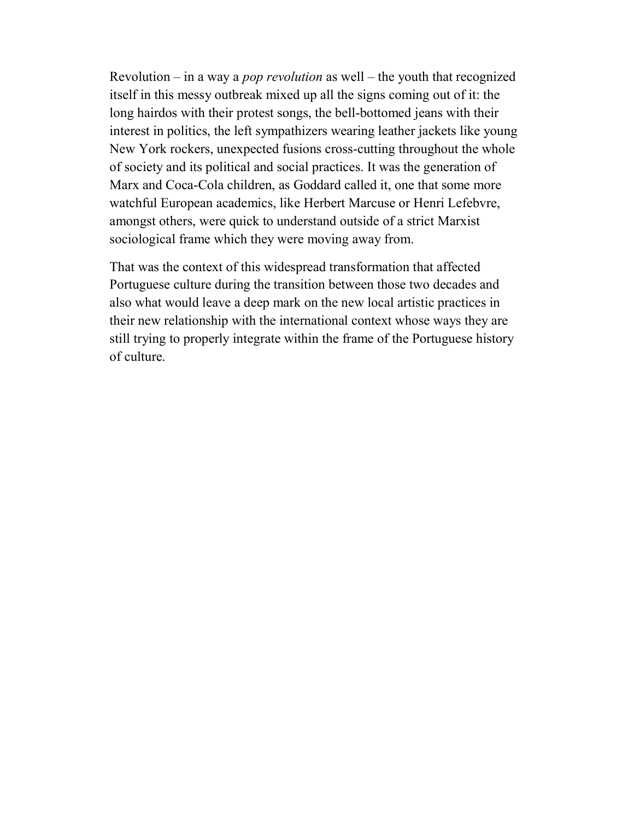Revolution – in a way a *pop revolution* as well – the youth that recognized itself in this messy outbreak mixed up all the signs coming out of it: the long hairdos with their protest songs, the bell-bottomed jeans with their interest in politics, the left sympathizers wearing leather jackets like young New York rockers, unexpected fusions cross-cutting throughout the whole of society and its political and social practices. It was the generation of Marx and Coca-Cola children, as Goddard called it, one that some more watchful European academics, like Herbert Marcuse or Henri Lefebvre, amongst others, were quick to understand outside of a strict Marxist sociological frame which they were moving away from.

That was the context of this widespread transformation that affected Portuguese culture during the transition between those two decades and also what would leave a deep mark on the new local artistic practices in their new relationship with the international context whose ways they are still trying to properly integrate within the frame of the Portuguese history of culture.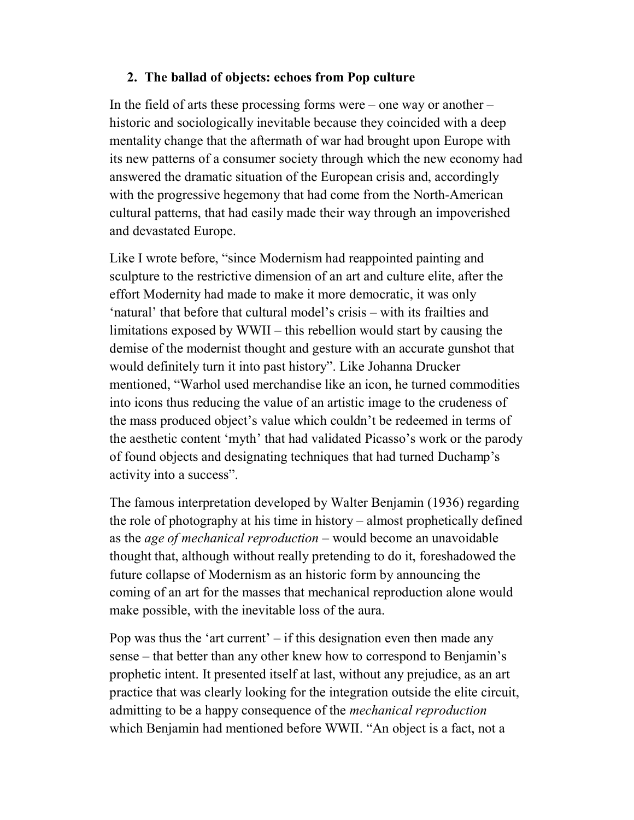# 2. The ballad of objects: echoes from Pop culture

In the field of arts these processing forms were – one way or another – historic and sociologically inevitable because they coincided with a deep mentality change that the aftermath of war had brought upon Europe with its new patterns of a consumer society through which the new economy had answered the dramatic situation of the European crisis and, accordingly with the progressive hegemony that had come from the North-American cultural patterns, that had easily made their way through an impoverished and devastated Europe.

Like I wrote before, "since Modernism had reappointed painting and sculpture to the restrictive dimension of an art and culture elite, after the effort Modernity had made to make it more democratic, it was only 'natural' that before that cultural model's crisis – with its frailties and limitations exposed by WWII – this rebellion would start by causing the demise of the modernist thought and gesture with an accurate gunshot that would definitely turn it into past history". Like Johanna Drucker mentioned, "Warhol used merchandise like an icon, he turned commodities into icons thus reducing the value of an artistic image to the crudeness of the mass produced object's value which couldn't be redeemed in terms of the aesthetic content 'myth' that had validated Picasso's work or the parody of found objects and designating techniques that had turned Duchamp's activity into a success".

The famous interpretation developed by Walter Benjamin (1936) regarding the role of photography at his time in history – almost prophetically defined as the age of mechanical reproduction – would become an unavoidable thought that, although without really pretending to do it, foreshadowed the future collapse of Modernism as an historic form by announcing the coming of an art for the masses that mechanical reproduction alone would make possible, with the inevitable loss of the aura.

Pop was thus the 'art current'  $-$  if this designation even then made any sense – that better than any other knew how to correspond to Benjamin's prophetic intent. It presented itself at last, without any prejudice, as an art practice that was clearly looking for the integration outside the elite circuit, admitting to be a happy consequence of the *mechanical reproduction* which Benjamin had mentioned before WWII. "An object is a fact, not a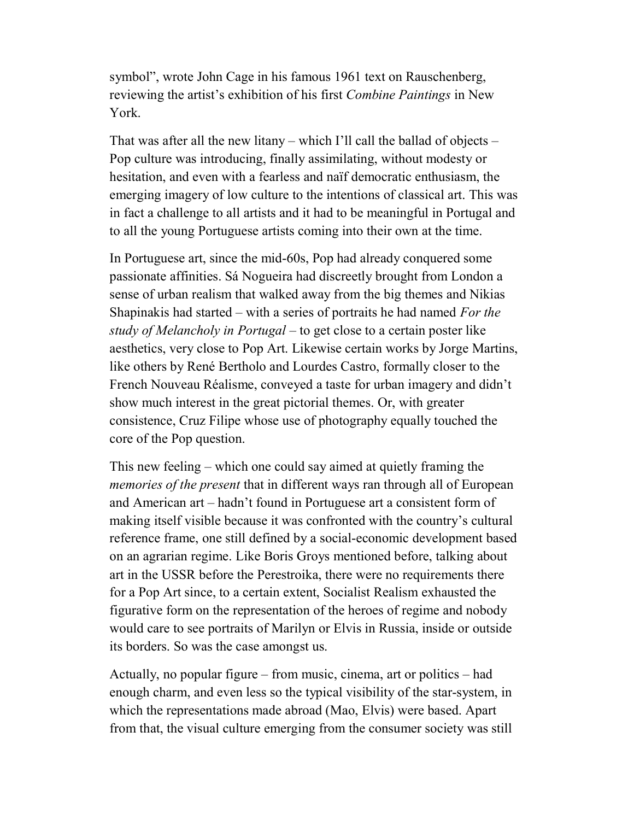symbol", wrote John Cage in his famous 1961 text on Rauschenberg, reviewing the artist's exhibition of his first *Combine Paintings* in New York.

That was after all the new litany – which I'll call the ballad of objects – Pop culture was introducing, finally assimilating, without modesty or hesitation, and even with a fearless and naïf democratic enthusiasm, the emerging imagery of low culture to the intentions of classical art. This was in fact a challenge to all artists and it had to be meaningful in Portugal and to all the young Portuguese artists coming into their own at the time.

In Portuguese art, since the mid-60s, Pop had already conquered some passionate affinities. Sá Nogueira had discreetly brought from London a sense of urban realism that walked away from the big themes and Nikias Shapinakis had started – with a series of portraits he had named For the study of Melancholy in Portugal – to get close to a certain poster like aesthetics, very close to Pop Art. Likewise certain works by Jorge Martins, like others by René Bertholo and Lourdes Castro, formally closer to the French Nouveau Réalisme, conveyed a taste for urban imagery and didn't show much interest in the great pictorial themes. Or, with greater consistence, Cruz Filipe whose use of photography equally touched the core of the Pop question.

This new feeling – which one could say aimed at quietly framing the memories of the present that in different ways ran through all of European and American art – hadn't found in Portuguese art a consistent form of making itself visible because it was confronted with the country's cultural reference frame, one still defined by a social-economic development based on an agrarian regime. Like Boris Groys mentioned before, talking about art in the USSR before the Perestroika, there were no requirements there for a Pop Art since, to a certain extent, Socialist Realism exhausted the figurative form on the representation of the heroes of regime and nobody would care to see portraits of Marilyn or Elvis in Russia, inside or outside its borders. So was the case amongst us.

Actually, no popular figure – from music, cinema, art or politics – had enough charm, and even less so the typical visibility of the star-system, in which the representations made abroad (Mao, Elvis) were based. Apart from that, the visual culture emerging from the consumer society was still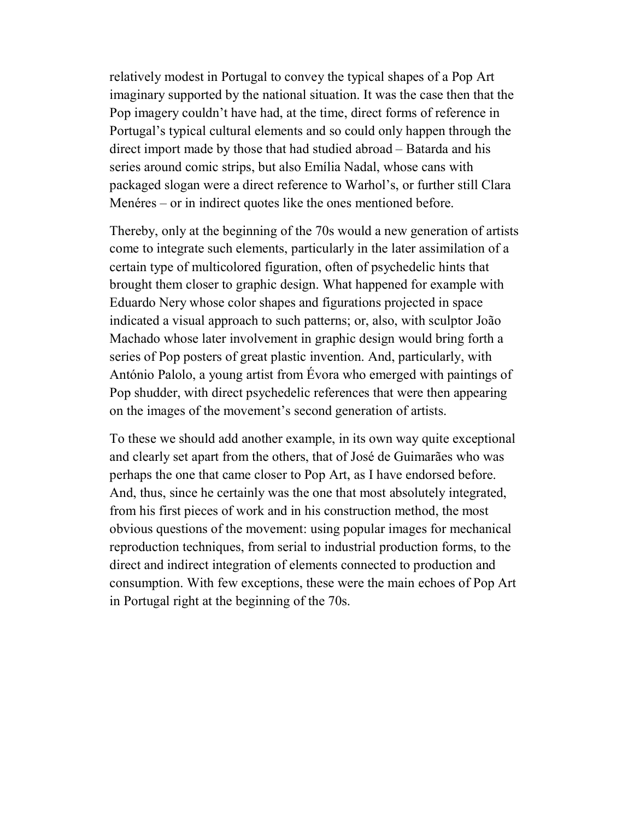relatively modest in Portugal to convey the typical shapes of a Pop Art imaginary supported by the national situation. It was the case then that the Pop imagery couldn't have had, at the time, direct forms of reference in Portugal's typical cultural elements and so could only happen through the direct import made by those that had studied abroad – Batarda and his series around comic strips, but also Emília Nadal, whose cans with packaged slogan were a direct reference to Warhol's, or further still Clara Menéres – or in indirect quotes like the ones mentioned before.

Thereby, only at the beginning of the 70s would a new generation of artists come to integrate such elements, particularly in the later assimilation of a certain type of multicolored figuration, often of psychedelic hints that brought them closer to graphic design. What happened for example with Eduardo Nery whose color shapes and figurations projected in space indicated a visual approach to such patterns; or, also, with sculptor João Machado whose later involvement in graphic design would bring forth a series of Pop posters of great plastic invention. And, particularly, with António Palolo, a young artist from Évora who emerged with paintings of Pop shudder, with direct psychedelic references that were then appearing on the images of the movement's second generation of artists.

To these we should add another example, in its own way quite exceptional and clearly set apart from the others, that of José de Guimarães who was perhaps the one that came closer to Pop Art, as I have endorsed before. And, thus, since he certainly was the one that most absolutely integrated, from his first pieces of work and in his construction method, the most obvious questions of the movement: using popular images for mechanical reproduction techniques, from serial to industrial production forms, to the direct and indirect integration of elements connected to production and consumption. With few exceptions, these were the main echoes of Pop Art in Portugal right at the beginning of the 70s.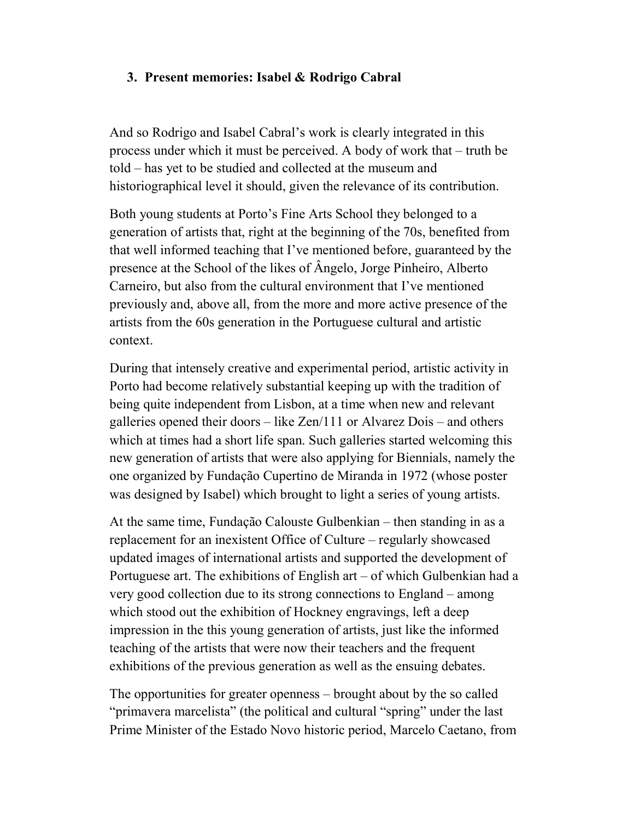## 3. Present memories: Isabel & Rodrigo Cabral

And so Rodrigo and Isabel Cabral's work is clearly integrated in this process under which it must be perceived. A body of work that – truth be told – has yet to be studied and collected at the museum and historiographical level it should, given the relevance of its contribution.

Both young students at Porto's Fine Arts School they belonged to a generation of artists that, right at the beginning of the 70s, benefited from that well informed teaching that I've mentioned before, guaranteed by the presence at the School of the likes of Ângelo, Jorge Pinheiro, Alberto Carneiro, but also from the cultural environment that I've mentioned previously and, above all, from the more and more active presence of the artists from the 60s generation in the Portuguese cultural and artistic context.

During that intensely creative and experimental period, artistic activity in Porto had become relatively substantial keeping up with the tradition of being quite independent from Lisbon, at a time when new and relevant galleries opened their doors – like Zen/111 or Alvarez Dois – and others which at times had a short life span. Such galleries started welcoming this new generation of artists that were also applying for Biennials, namely the one organized by Fundação Cupertino de Miranda in 1972 (whose poster was designed by Isabel) which brought to light a series of young artists.

At the same time, Fundação Calouste Gulbenkian – then standing in as a replacement for an inexistent Office of Culture – regularly showcased updated images of international artists and supported the development of Portuguese art. The exhibitions of English art – of which Gulbenkian had a very good collection due to its strong connections to England – among which stood out the exhibition of Hockney engravings, left a deep impression in the this young generation of artists, just like the informed teaching of the artists that were now their teachers and the frequent exhibitions of the previous generation as well as the ensuing debates.

The opportunities for greater openness – brought about by the so called "primavera marcelista" (the political and cultural "spring" under the last Prime Minister of the Estado Novo historic period, Marcelo Caetano, from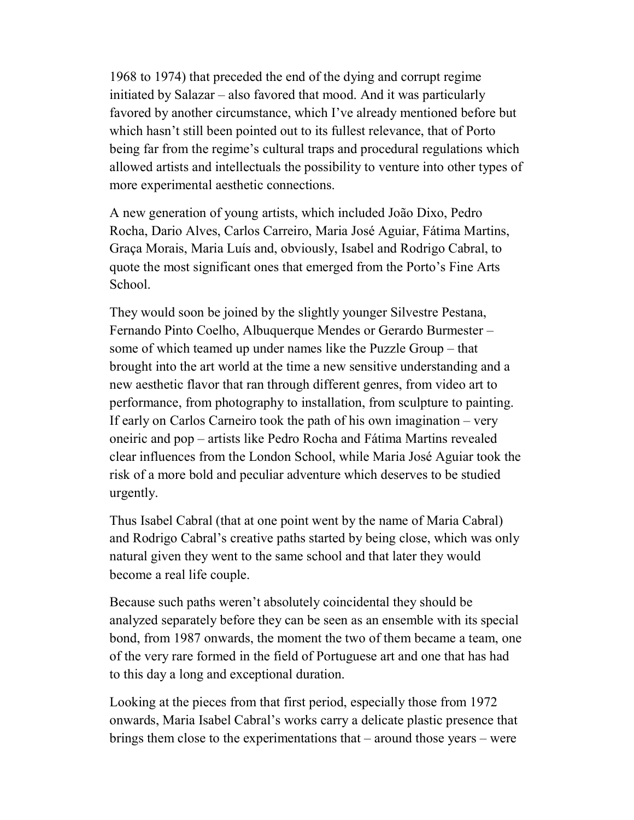1968 to 1974) that preceded the end of the dying and corrupt regime initiated by Salazar – also favored that mood. And it was particularly favored by another circumstance, which I've already mentioned before but which hasn't still been pointed out to its fullest relevance, that of Porto being far from the regime's cultural traps and procedural regulations which allowed artists and intellectuals the possibility to venture into other types of more experimental aesthetic connections.

A new generation of young artists, which included João Dixo, Pedro Rocha, Dario Alves, Carlos Carreiro, Maria José Aguiar, Fátima Martins, Graça Morais, Maria Luís and, obviously, Isabel and Rodrigo Cabral, to quote the most significant ones that emerged from the Porto's Fine Arts School.

They would soon be joined by the slightly younger Silvestre Pestana, Fernando Pinto Coelho, Albuquerque Mendes or Gerardo Burmester – some of which teamed up under names like the Puzzle Group – that brought into the art world at the time a new sensitive understanding and a new aesthetic flavor that ran through different genres, from video art to performance, from photography to installation, from sculpture to painting. If early on Carlos Carneiro took the path of his own imagination – very oneiric and pop – artists like Pedro Rocha and Fátima Martins revealed clear influences from the London School, while Maria José Aguiar took the risk of a more bold and peculiar adventure which deserves to be studied urgently.

Thus Isabel Cabral (that at one point went by the name of Maria Cabral) and Rodrigo Cabral's creative paths started by being close, which was only natural given they went to the same school and that later they would become a real life couple.

Because such paths weren't absolutely coincidental they should be analyzed separately before they can be seen as an ensemble with its special bond, from 1987 onwards, the moment the two of them became a team, one of the very rare formed in the field of Portuguese art and one that has had to this day a long and exceptional duration.

Looking at the pieces from that first period, especially those from 1972 onwards, Maria Isabel Cabral's works carry a delicate plastic presence that brings them close to the experimentations that – around those years – were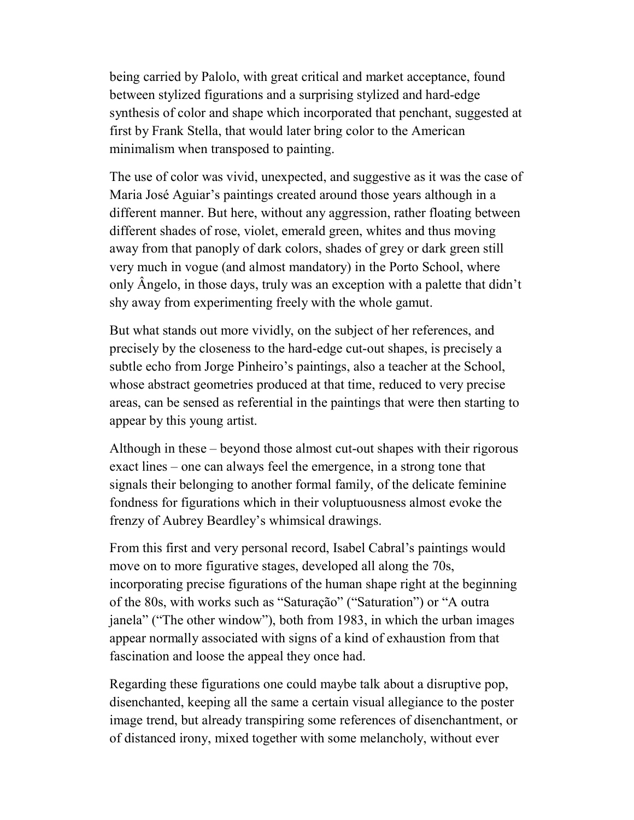being carried by Palolo, with great critical and market acceptance, found between stylized figurations and a surprising stylized and hard-edge synthesis of color and shape which incorporated that penchant, suggested at first by Frank Stella, that would later bring color to the American minimalism when transposed to painting.

The use of color was vivid, unexpected, and suggestive as it was the case of Maria José Aguiar's paintings created around those years although in a different manner. But here, without any aggression, rather floating between different shades of rose, violet, emerald green, whites and thus moving away from that panoply of dark colors, shades of grey or dark green still very much in vogue (and almost mandatory) in the Porto School, where only Ângelo, in those days, truly was an exception with a palette that didn't shy away from experimenting freely with the whole gamut.

But what stands out more vividly, on the subject of her references, and precisely by the closeness to the hard-edge cut-out shapes, is precisely a subtle echo from Jorge Pinheiro's paintings, also a teacher at the School, whose abstract geometries produced at that time, reduced to very precise areas, can be sensed as referential in the paintings that were then starting to appear by this young artist.

Although in these – beyond those almost cut-out shapes with their rigorous exact lines – one can always feel the emergence, in a strong tone that signals their belonging to another formal family, of the delicate feminine fondness for figurations which in their voluptuousness almost evoke the frenzy of Aubrey Beardley's whimsical drawings.

From this first and very personal record, Isabel Cabral's paintings would move on to more figurative stages, developed all along the 70s, incorporating precise figurations of the human shape right at the beginning of the 80s, with works such as "Saturação" ("Saturation") or "A outra janela" ("The other window"), both from 1983, in which the urban images appear normally associated with signs of a kind of exhaustion from that fascination and loose the appeal they once had.

Regarding these figurations one could maybe talk about a disruptive pop, disenchanted, keeping all the same a certain visual allegiance to the poster image trend, but already transpiring some references of disenchantment, or of distanced irony, mixed together with some melancholy, without ever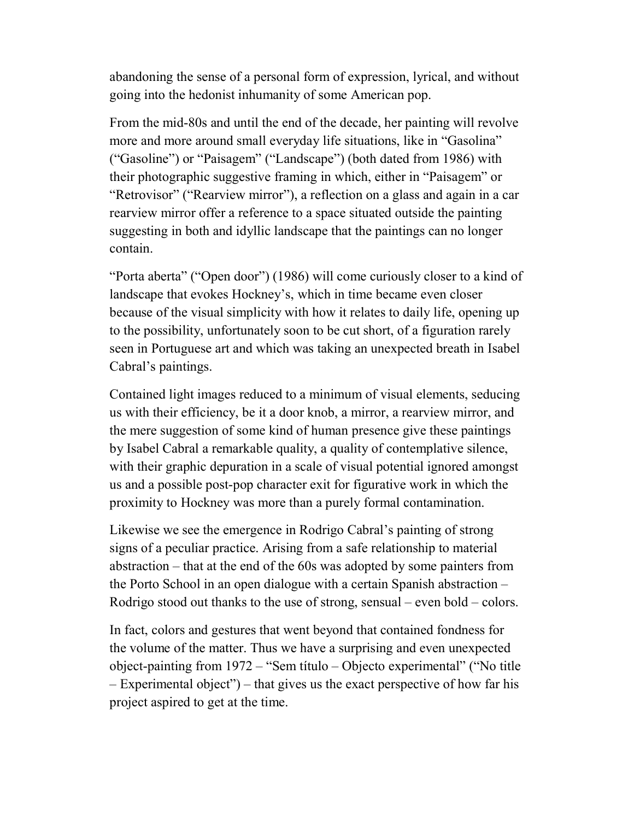abandoning the sense of a personal form of expression, lyrical, and without going into the hedonist inhumanity of some American pop.

From the mid-80s and until the end of the decade, her painting will revolve more and more around small everyday life situations, like in "Gasolina" ("Gasoline") or "Paisagem" ("Landscape") (both dated from 1986) with their photographic suggestive framing in which, either in "Paisagem" or "Retrovisor" ("Rearview mirror"), a reflection on a glass and again in a car rearview mirror offer a reference to a space situated outside the painting suggesting in both and idyllic landscape that the paintings can no longer contain.

"Porta aberta" ("Open door") (1986) will come curiously closer to a kind of landscape that evokes Hockney's, which in time became even closer because of the visual simplicity with how it relates to daily life, opening up to the possibility, unfortunately soon to be cut short, of a figuration rarely seen in Portuguese art and which was taking an unexpected breath in Isabel Cabral's paintings.

Contained light images reduced to a minimum of visual elements, seducing us with their efficiency, be it a door knob, a mirror, a rearview mirror, and the mere suggestion of some kind of human presence give these paintings by Isabel Cabral a remarkable quality, a quality of contemplative silence, with their graphic depuration in a scale of visual potential ignored amongst us and a possible post-pop character exit for figurative work in which the proximity to Hockney was more than a purely formal contamination.

Likewise we see the emergence in Rodrigo Cabral's painting of strong signs of a peculiar practice. Arising from a safe relationship to material abstraction – that at the end of the 60s was adopted by some painters from the Porto School in an open dialogue with a certain Spanish abstraction – Rodrigo stood out thanks to the use of strong, sensual – even bold – colors.

In fact, colors and gestures that went beyond that contained fondness for the volume of the matter. Thus we have a surprising and even unexpected object-painting from 1972 – "Sem título – Objecto experimental" ("No title – Experimental object") – that gives us the exact perspective of how far his project aspired to get at the time.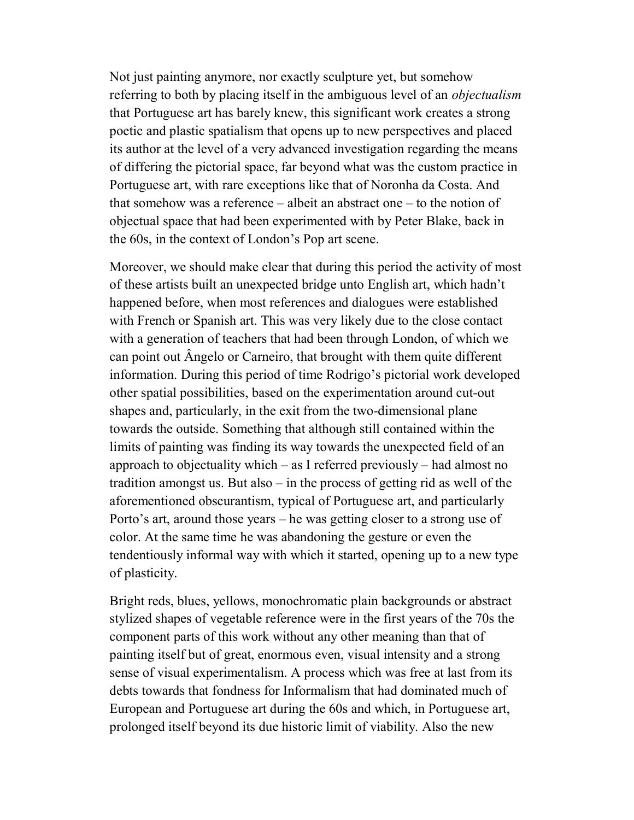Not just painting anymore, nor exactly sculpture yet, but somehow referring to both by placing itself in the ambiguous level of an *objectualism* that Portuguese art has barely knew, this significant work creates a strong poetic and plastic spatialism that opens up to new perspectives and placed its author at the level of a very advanced investigation regarding the means of differing the pictorial space, far beyond what was the custom practice in Portuguese art, with rare exceptions like that of Noronha da Costa. And that somehow was a reference – albeit an abstract one – to the notion of objectual space that had been experimented with by Peter Blake, back in the 60s, in the context of London's Pop art scene.

Moreover, we should make clear that during this period the activity of most of these artists built an unexpected bridge unto English art, which hadn't happened before, when most references and dialogues were established with French or Spanish art. This was very likely due to the close contact with a generation of teachers that had been through London, of which we can point out Ângelo or Carneiro, that brought with them quite different information. During this period of time Rodrigo's pictorial work developed other spatial possibilities, based on the experimentation around cut-out shapes and, particularly, in the exit from the two-dimensional plane towards the outside. Something that although still contained within the limits of painting was finding its way towards the unexpected field of an approach to objectuality which – as I referred previously – had almost no tradition amongst us. But also – in the process of getting rid as well of the aforementioned obscurantism, typical of Portuguese art, and particularly Porto's art, around those years – he was getting closer to a strong use of color. At the same time he was abandoning the gesture or even the tendentiously informal way with which it started, opening up to a new type of plasticity.

Bright reds, blues, yellows, monochromatic plain backgrounds or abstract stylized shapes of vegetable reference were in the first years of the 70s the component parts of this work without any other meaning than that of painting itself but of great, enormous even, visual intensity and a strong sense of visual experimentalism. A process which was free at last from its debts towards that fondness for Informalism that had dominated much of European and Portuguese art during the 60s and which, in Portuguese art, prolonged itself beyond its due historic limit of viability. Also the new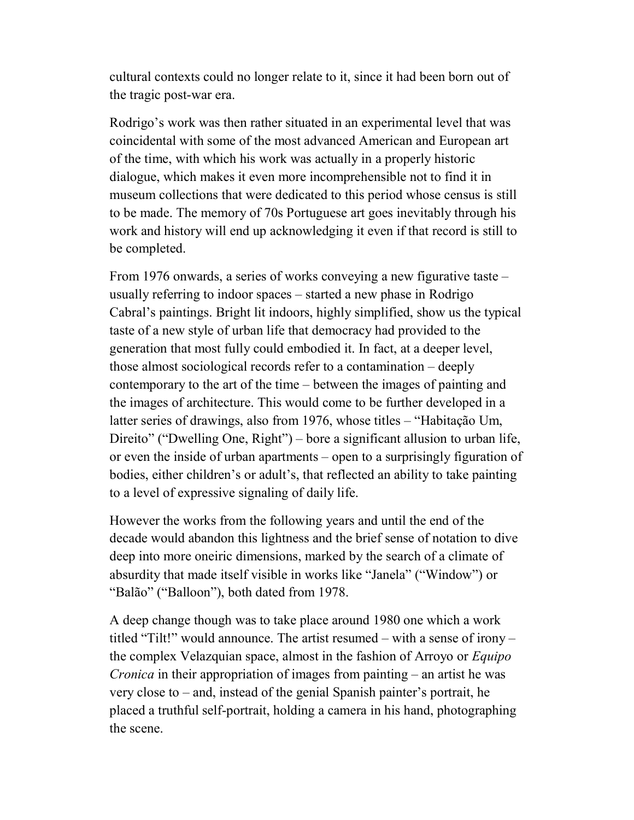cultural contexts could no longer relate to it, since it had been born out of the tragic post-war era.

Rodrigo's work was then rather situated in an experimental level that was coincidental with some of the most advanced American and European art of the time, with which his work was actually in a properly historic dialogue, which makes it even more incomprehensible not to find it in museum collections that were dedicated to this period whose census is still to be made. The memory of 70s Portuguese art goes inevitably through his work and history will end up acknowledging it even if that record is still to be completed.

From 1976 onwards, a series of works conveying a new figurative taste – usually referring to indoor spaces – started a new phase in Rodrigo Cabral's paintings. Bright lit indoors, highly simplified, show us the typical taste of a new style of urban life that democracy had provided to the generation that most fully could embodied it. In fact, at a deeper level, those almost sociological records refer to a contamination – deeply contemporary to the art of the time – between the images of painting and the images of architecture. This would come to be further developed in a latter series of drawings, also from 1976, whose titles – "Habitação Um, Direito" ("Dwelling One, Right") – bore a significant allusion to urban life, or even the inside of urban apartments – open to a surprisingly figuration of bodies, either children's or adult's, that reflected an ability to take painting to a level of expressive signaling of daily life.

However the works from the following years and until the end of the decade would abandon this lightness and the brief sense of notation to dive deep into more oneiric dimensions, marked by the search of a climate of absurdity that made itself visible in works like "Janela" ("Window") or "Balão" ("Balloon"), both dated from 1978.

A deep change though was to take place around 1980 one which a work titled "Tilt!" would announce. The artist resumed – with a sense of irony – the complex Velazquian space, almost in the fashion of Arroyo or *Equipo* Cronica in their appropriation of images from painting – an artist he was very close to – and, instead of the genial Spanish painter's portrait, he placed a truthful self-portrait, holding a camera in his hand, photographing the scene.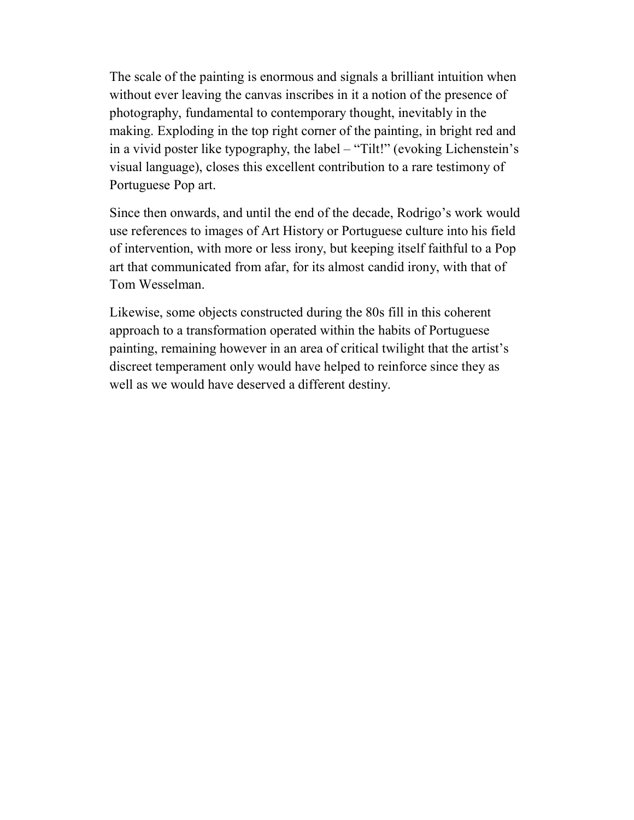The scale of the painting is enormous and signals a brilliant intuition when without ever leaving the canvas inscribes in it a notion of the presence of photography, fundamental to contemporary thought, inevitably in the making. Exploding in the top right corner of the painting, in bright red and in a vivid poster like typography, the label – "Tilt!" (evoking Lichenstein's visual language), closes this excellent contribution to a rare testimony of Portuguese Pop art.

Since then onwards, and until the end of the decade, Rodrigo's work would use references to images of Art History or Portuguese culture into his field of intervention, with more or less irony, but keeping itself faithful to a Pop art that communicated from afar, for its almost candid irony, with that of Tom Wesselman.

Likewise, some objects constructed during the 80s fill in this coherent approach to a transformation operated within the habits of Portuguese painting, remaining however in an area of critical twilight that the artist's discreet temperament only would have helped to reinforce since they as well as we would have deserved a different destiny.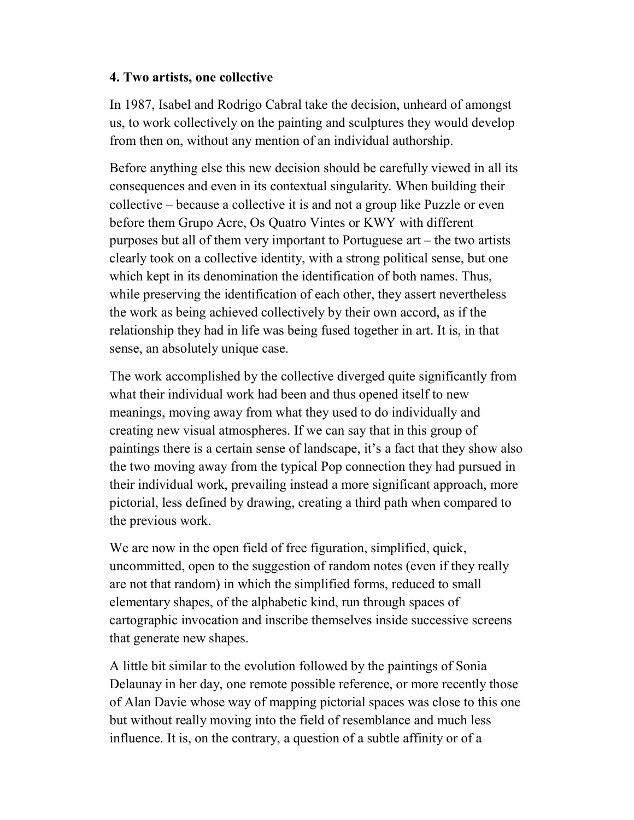## 4. Two artists, one collective

In 1987, Isabel and Rodrigo Cabral take the decision, unheard of amongst us, to work collectively on the painting and sculptures they would develop from then on, without any mention of an individual authorship.

Before anything else this new decision should be carefully viewed in all its consequences and even in its contextual singularity. When building their collective – because a collective it is and not a group like Puzzle or even before them Grupo Acre, Os Quatro Vintes or KWY with different purposes but all of them very important to Portuguese art – the two artists clearly took on a collective identity, with a strong political sense, but one which kept in its denomination the identification of both names. Thus, while preserving the identification of each other, they assert nevertheless the work as being achieved collectively by their own accord, as if the relationship they had in life was being fused together in art. It is, in that sense, an absolutely unique case.

The work accomplished by the collective diverged quite significantly from what their individual work had been and thus opened itself to new meanings, moving away from what they used to do individually and creating new visual atmospheres. If we can say that in this group of paintings there is a certain sense of landscape, it's a fact that they show also the two moving away from the typical Pop connection they had pursued in their individual work, prevailing instead a more significant approach, more pictorial, less defined by drawing, creating a third path when compared to the previous work.

We are now in the open field of free figuration, simplified, quick, uncommitted, open to the suggestion of random notes (even if they really are not that random) in which the simplified forms, reduced to small elementary shapes, of the alphabetic kind, run through spaces of cartographic invocation and inscribe themselves inside successive screens that generate new shapes.

A little bit similar to the evolution followed by the paintings of Sonia Delaunay in her day, one remote possible reference, or more recently those of Alan Davie whose way of mapping pictorial spaces was close to this one but without really moving into the field of resemblance and much less influence. It is, on the contrary, a question of a subtle affinity or of a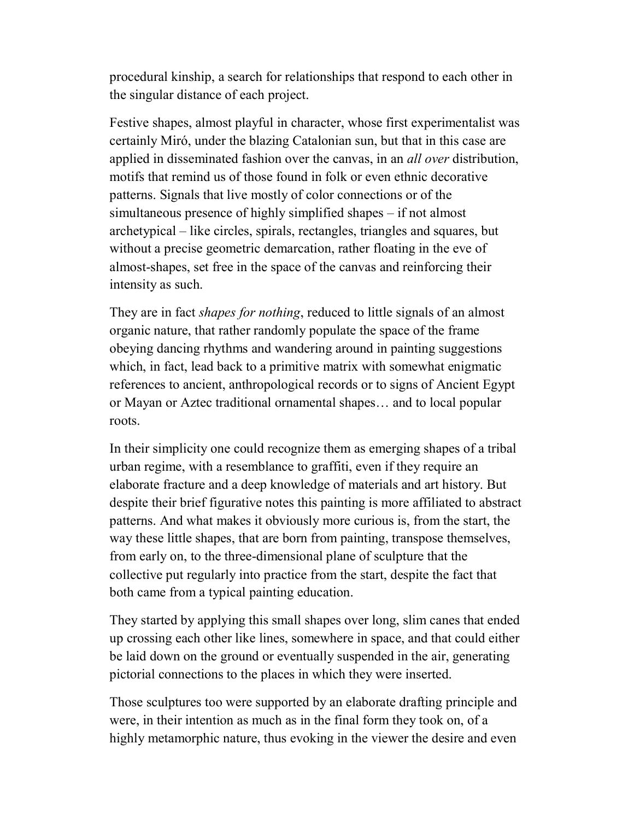procedural kinship, a search for relationships that respond to each other in the singular distance of each project.

Festive shapes, almost playful in character, whose first experimentalist was certainly Miró, under the blazing Catalonian sun, but that in this case are applied in disseminated fashion over the canvas, in an *all over* distribution, motifs that remind us of those found in folk or even ethnic decorative patterns. Signals that live mostly of color connections or of the simultaneous presence of highly simplified shapes – if not almost archetypical – like circles, spirals, rectangles, triangles and squares, but without a precise geometric demarcation, rather floating in the eve of almost-shapes, set free in the space of the canvas and reinforcing their intensity as such.

They are in fact *shapes for nothing*, reduced to little signals of an almost organic nature, that rather randomly populate the space of the frame obeying dancing rhythms and wandering around in painting suggestions which, in fact, lead back to a primitive matrix with somewhat enigmatic references to ancient, anthropological records or to signs of Ancient Egypt or Mayan or Aztec traditional ornamental shapes… and to local popular roots.

In their simplicity one could recognize them as emerging shapes of a tribal urban regime, with a resemblance to graffiti, even if they require an elaborate fracture and a deep knowledge of materials and art history. But despite their brief figurative notes this painting is more affiliated to abstract patterns. And what makes it obviously more curious is, from the start, the way these little shapes, that are born from painting, transpose themselves, from early on, to the three-dimensional plane of sculpture that the collective put regularly into practice from the start, despite the fact that both came from a typical painting education.

They started by applying this small shapes over long, slim canes that ended up crossing each other like lines, somewhere in space, and that could either be laid down on the ground or eventually suspended in the air, generating pictorial connections to the places in which they were inserted.

Those sculptures too were supported by an elaborate drafting principle and were, in their intention as much as in the final form they took on, of a highly metamorphic nature, thus evoking in the viewer the desire and even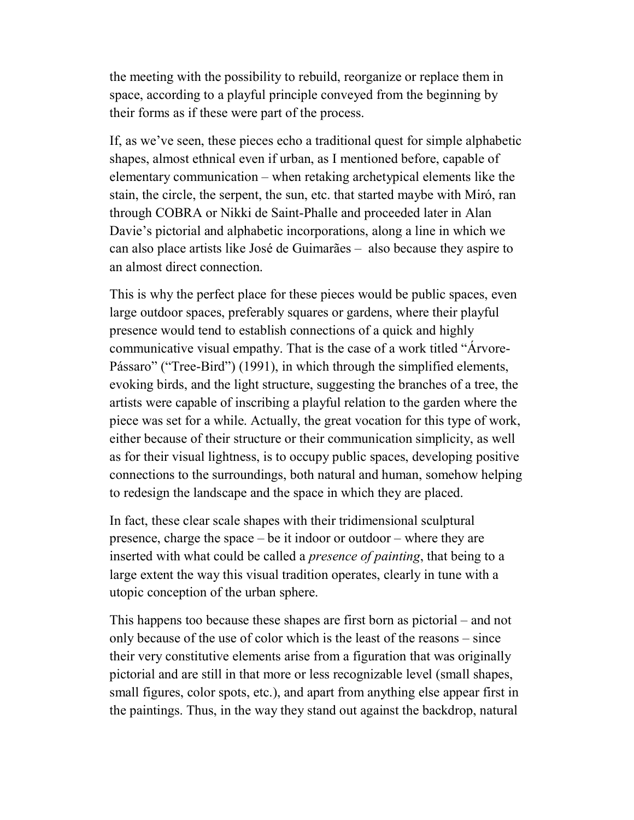the meeting with the possibility to rebuild, reorganize or replace them in space, according to a playful principle conveyed from the beginning by their forms as if these were part of the process.

If, as we've seen, these pieces echo a traditional quest for simple alphabetic shapes, almost ethnical even if urban, as I mentioned before, capable of elementary communication – when retaking archetypical elements like the stain, the circle, the serpent, the sun, etc. that started maybe with Miró, ran through COBRA or Nikki de Saint-Phalle and proceeded later in Alan Davie's pictorial and alphabetic incorporations, along a line in which we can also place artists like José de Guimarães – also because they aspire to an almost direct connection.

This is why the perfect place for these pieces would be public spaces, even large outdoor spaces, preferably squares or gardens, where their playful presence would tend to establish connections of a quick and highly communicative visual empathy. That is the case of a work titled "Árvore-Pássaro" ("Tree-Bird") (1991), in which through the simplified elements, evoking birds, and the light structure, suggesting the branches of a tree, the artists were capable of inscribing a playful relation to the garden where the piece was set for a while. Actually, the great vocation for this type of work, either because of their structure or their communication simplicity, as well as for their visual lightness, is to occupy public spaces, developing positive connections to the surroundings, both natural and human, somehow helping to redesign the landscape and the space in which they are placed.

In fact, these clear scale shapes with their tridimensional sculptural presence, charge the space – be it indoor or outdoor – where they are inserted with what could be called a *presence of painting*, that being to a large extent the way this visual tradition operates, clearly in tune with a utopic conception of the urban sphere.

This happens too because these shapes are first born as pictorial – and not only because of the use of color which is the least of the reasons – since their very constitutive elements arise from a figuration that was originally pictorial and are still in that more or less recognizable level (small shapes, small figures, color spots, etc.), and apart from anything else appear first in the paintings. Thus, in the way they stand out against the backdrop, natural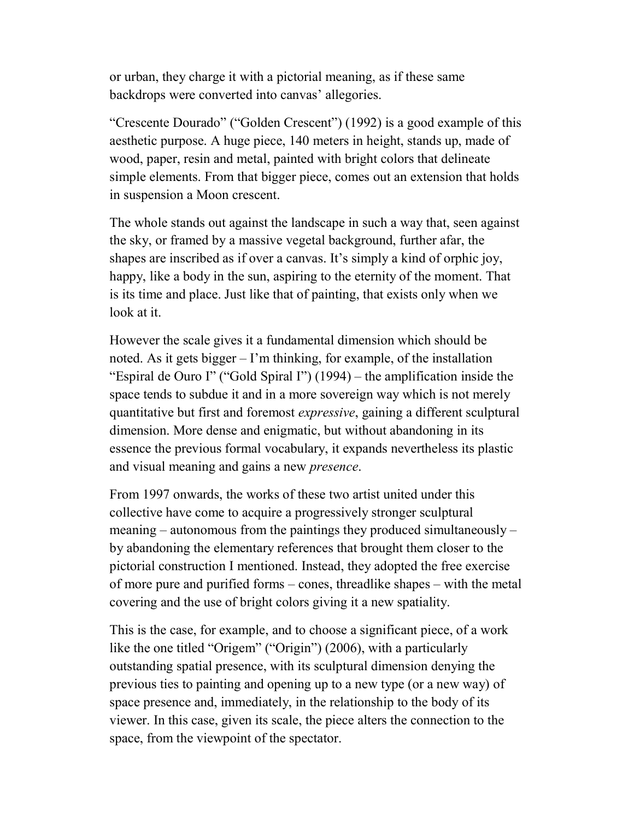or urban, they charge it with a pictorial meaning, as if these same backdrops were converted into canvas' allegories.

"Crescente Dourado" ("Golden Crescent") (1992) is a good example of this aesthetic purpose. A huge piece, 140 meters in height, stands up, made of wood, paper, resin and metal, painted with bright colors that delineate simple elements. From that bigger piece, comes out an extension that holds in suspension a Moon crescent.

The whole stands out against the landscape in such a way that, seen against the sky, or framed by a massive vegetal background, further afar, the shapes are inscribed as if over a canvas. It's simply a kind of orphic joy, happy, like a body in the sun, aspiring to the eternity of the moment. That is its time and place. Just like that of painting, that exists only when we look at it.

However the scale gives it a fundamental dimension which should be noted. As it gets bigger – I'm thinking, for example, of the installation "Espiral de Ouro I" ("Gold Spiral I") (1994) – the amplification inside the space tends to subdue it and in a more sovereign way which is not merely quantitative but first and foremost expressive, gaining a different sculptural dimension. More dense and enigmatic, but without abandoning in its essence the previous formal vocabulary, it expands nevertheless its plastic and visual meaning and gains a new *presence*.

From 1997 onwards, the works of these two artist united under this collective have come to acquire a progressively stronger sculptural meaning – autonomous from the paintings they produced simultaneously – by abandoning the elementary references that brought them closer to the pictorial construction I mentioned. Instead, they adopted the free exercise of more pure and purified forms – cones, threadlike shapes – with the metal covering and the use of bright colors giving it a new spatiality.

This is the case, for example, and to choose a significant piece, of a work like the one titled "Origem" ("Origin") (2006), with a particularly outstanding spatial presence, with its sculptural dimension denying the previous ties to painting and opening up to a new type (or a new way) of space presence and, immediately, in the relationship to the body of its viewer. In this case, given its scale, the piece alters the connection to the space, from the viewpoint of the spectator.